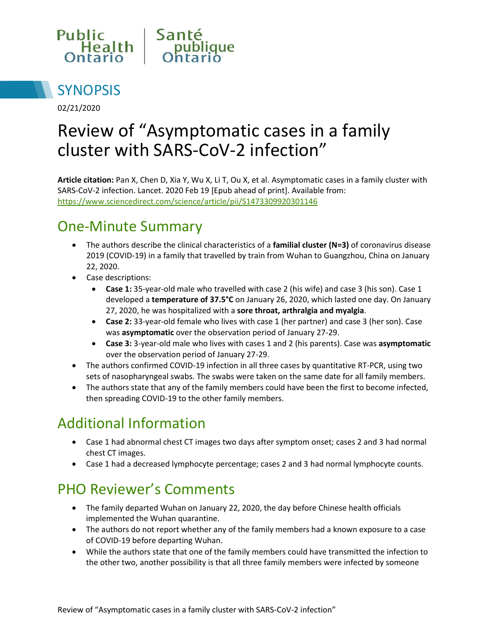



02/21/2020

# Review of "Asymptomatic cases in a family cluster with SARS-CoV-2 infection"

**Article citation:** Pan X, Chen D, Xia Y, Wu X, Li T, Ou X, et al. Asymptomatic cases in a family cluster with SARS-CoV-2 infection. Lancet. 2020 Feb 19 [Epub ahead of print]. Available from: <https://www.sciencedirect.com/science/article/pii/S1473309920301146>

### One-Minute Summary

- The authors describe the clinical characteristics of a **familial cluster (N=3)** of coronavirus disease 2019 (COVID-19) in a family that travelled by train from Wuhan to Guangzhou, China on January 22, 2020.
- Case descriptions:
	- **Case 1:** 35-year-old male who travelled with case 2 (his wife) and case 3 (his son). Case 1 developed a **temperature of 37.5°C** on January 26, 2020, which lasted one day. On January 27, 2020, he was hospitalized with a **sore throat, arthralgia and myalgia**.
	- **Case 2:** 33-year-old female who lives with case 1 (her partner) and case 3 (her son). Case was **asymptomatic** over the observation period of January 27-29.
	- **Case 3:** 3-year-old male who lives with cases 1 and 2 (his parents). Case was **asymptomatic** over the observation period of January 27-29.
- The authors confirmed COVID-19 infection in all three cases by quantitative RT-PCR, using two sets of nasopharyngeal swabs. The swabs were taken on the same date for all family members.
- The authors state that any of the family members could have been the first to become infected, then spreading COVID-19 to the other family members.

### Additional Information

- Case 1 had abnormal chest CT images two days after symptom onset; cases 2 and 3 had normal chest CT images.
- Case 1 had a decreased lymphocyte percentage; cases 2 and 3 had normal lymphocyte counts.

## PHO Reviewer's Comments

- The family departed Wuhan on January 22, 2020, the day before Chinese health officials implemented the Wuhan quarantine.
- The authors do not report whether any of the family members had a known exposure to a case of COVID-19 before departing Wuhan.
- While the authors state that one of the family members could have transmitted the infection to the other two, another possibility is that all three family members were infected by someone